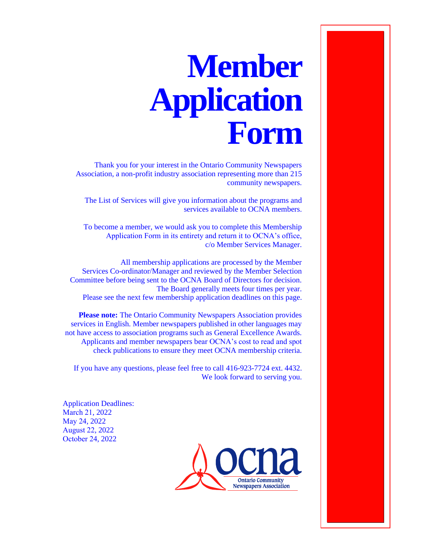# **Member Application Form**

Thank you for your interest in the Ontario Community Newspapers Association, a non-profit industry association representing more than 215 community newspapers.

The List of Services will give you information about the programs and services available to OCNA members.

To become a member, we would ask you to complete this Membership Application Form in its entirety and return it to OCNA's office, c/o Member Services Manager.

All membership applications are processed by the Member Services Co-ordinator/Manager and reviewed by the Member Selection Committee before being sent to the OCNA Board of Directors for decision. The Board generally meets four times per year. Please see the next few membership application deadlines on this page.

**Please note:** The Ontario Community Newspapers Association provides services in English. Member newspapers published in other languages may not have access to association programs such as General Excellence Awards. Applicants and member newspapers bear OCNA's cost to read and spot check publications to ensure they meet OCNA membership criteria.

If you have any questions, please feel free to call 416-923-7724 ext. 4432. We look forward to serving you.

Application Deadlines: March 21, 2022 May 24, 2022 August 22, 2022 October 24, 2022

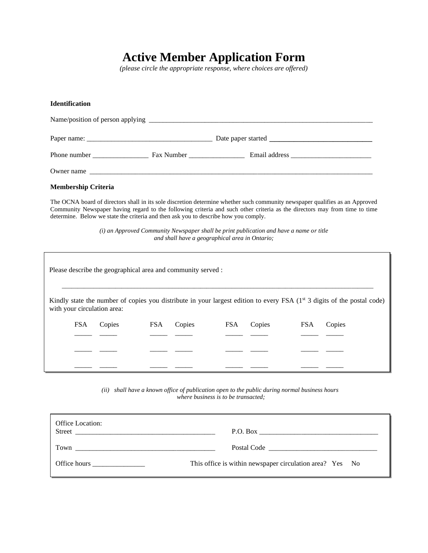## **Active Member Application Form**

*(please circle the appropriate response, where choices are offered)*

#### **Identification**

| Phone number |  | Email address and the state of the state of the state of the state of the state of the state of the state of the state of the state of the state of the state of the state of the state of the state of the state of the state |  |  |  |
|--------------|--|--------------------------------------------------------------------------------------------------------------------------------------------------------------------------------------------------------------------------------|--|--|--|
| Owner name   |  |                                                                                                                                                                                                                                |  |  |  |

#### **Membership Criteria**

The OCNA board of directors shall in its sole discretion determine whether such community newspaper qualifies as an Approved Community Newspaper having regard to the following criteria and such other criteria as the directors may from time to time determine. Below we state the criteria and then ask you to describe how you comply.

> *(i) an Approved Community Newspaper shall be print publication and have a name or title and shall have a geographical area in Ontario;*

| Please describe the geographical area and community served : |        |            |        |            |        |            |                                                                                                                           |
|--------------------------------------------------------------|--------|------------|--------|------------|--------|------------|---------------------------------------------------------------------------------------------------------------------------|
| with your circulation area:                                  |        |            |        |            |        |            | Kindly state the number of copies you distribute in your largest edition to every FSA $(1st 3$ digits of the postal code) |
| <b>FSA</b>                                                   | Copies | <b>FSA</b> | Copies | <b>FSA</b> | Copies | <b>FSA</b> | Copies                                                                                                                    |
|                                                              |        |            |        |            |        |            |                                                                                                                           |
|                                                              |        |            |        |            |        |            |                                                                                                                           |
|                                                              |        |            |        |            |        |            |                                                                                                                           |

*(ii) shall have a known office of publication open to the public during normal business hours where business is to be transacted;*

| Office Location: |                                                          |
|------------------|----------------------------------------------------------|
|                  |                                                          |
|                  | This office is within newspaper circulation area? Yes No |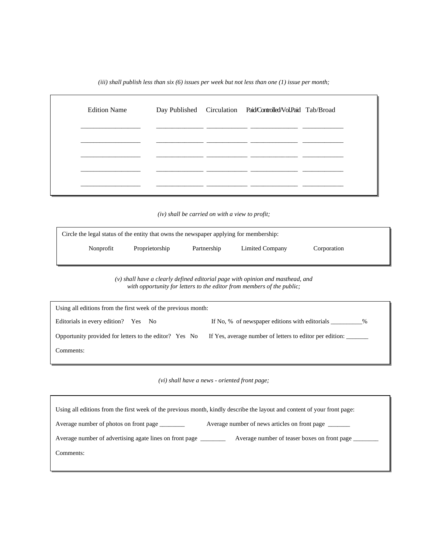*(iii) shall publish less than six (6) issues per week but not less than one (1) issue per month;*

| <b>Edition Name</b> |  | Day Published Circulation Paid/Controlled/Vol.Paid Tab/Broad |  |
|---------------------|--|--------------------------------------------------------------|--|
|                     |  |                                                              |  |
|                     |  |                                                              |  |
|                     |  |                                                              |  |

*(iv) shall be carried on with a view to profit;*

| Circle the legal status of the entity that owns the newspaper applying for membership: |                |             |                 |             |  |
|----------------------------------------------------------------------------------------|----------------|-------------|-----------------|-------------|--|
| Nonprofit                                                                              | Proprietorship | Partnership | Limited Company | Corporation |  |

*(v) shall have a clearly defined editorial page with opinion and masthead, and with opportunity for letters to the editor from members of the public;*

| Using all editions from the first week of the previous month: |                                                          |
|---------------------------------------------------------------|----------------------------------------------------------|
| Editorials in every edition? Yes No                           | If No, % of newspaper editions with editorials<br>%      |
| Opportunity provided for letters to the editor? Yes No        | If Yes, average number of letters to editor per edition: |
| Comments:                                                     |                                                          |

*(vi) shall have a news - oriented front page;*

|                                                         | Using all editions from the first week of the previous month, kindly describe the layout and content of your front page: |
|---------------------------------------------------------|--------------------------------------------------------------------------------------------------------------------------|
| Average number of photos on front page _________        | Average number of news articles on front page _______                                                                    |
| Average number of advertising agate lines on front page | Average number of teaser boxes on front page                                                                             |
| Comments:                                               |                                                                                                                          |
|                                                         |                                                                                                                          |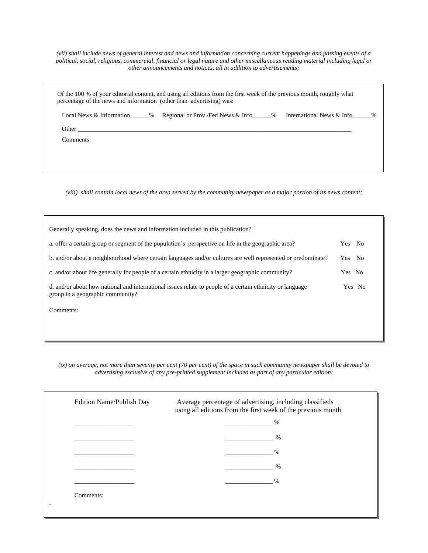*(vii) shall include news of general interest and news and information concerning current happenings and passing events of a political, social, religious, commercial, financial or legal nature and other miscellaneous reading material including legal or other announcements and notices, all in addition to advertisements;*

|           | Local News & Information by Regional or Prov./Fed News & Info by Finemational News & Info by $\%$ |  |
|-----------|---------------------------------------------------------------------------------------------------|--|
| Other     |                                                                                                   |  |
| Comments: |                                                                                                   |  |

*(viii) shall contain local news of the area served by the community newspaper as a major portion of its news content;*

| Generally speaking, does the news and information included in this publication?                                                               |        |
|-----------------------------------------------------------------------------------------------------------------------------------------------|--------|
| a. offer a certain group or segment of the population's perspective on life in the geographic area?                                           | Yes No |
| b. and/or about a neighbourhood where certain languages and/or cultures are well represented or predominate?                                  | Yes No |
| c. and/or about life generally for people of a certain ethnicity in a larger geographic community?                                            | Yes No |
| d. and/or about how national and international issues relate to people of a certain ethnicity or language<br>group in a geographic community? | Yes No |
| Comments:                                                                                                                                     |        |
|                                                                                                                                               |        |
|                                                                                                                                               |        |

*(ix) on average, not more than seventy per cent (70 per cent) of the space in such community newspaper shall be devoted to advertising exclusive of any pre-printed supplement included as part of any particular edition;*

| Edition Name/Publish Day | Average percentage of advertising, including classifieds<br>using all editions from the first week of the previous month |
|--------------------------|--------------------------------------------------------------------------------------------------------------------------|
|                          | $\%$                                                                                                                     |
|                          | $\%$                                                                                                                     |
|                          | $\frac{0}{0}$                                                                                                            |
|                          | $\frac{0}{0}$                                                                                                            |
|                          | $\frac{0}{0}$                                                                                                            |
| Comments:                |                                                                                                                          |
|                          |                                                                                                                          |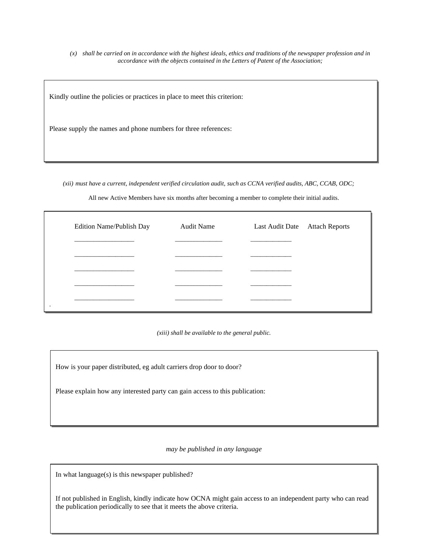*(x) shall be carried on in accordance with the highest ideals, ethics and traditions of the newspaper profession and in accordance with the objects contained in the Letters of Patent of the Association;*

Kindly outline the policies or practices in place to meet this criterion:

Please supply the names and phone numbers for three references:

*(xii) must have a current, independent verified circulation audit, such as CCNA verified audits, ABC, CCAB, ODC;*

All new Active Members have six months after becoming a member to complete their initial audits.

| Edition Name/Publish Day | <b>Audit Name</b> | Last Audit Date Attach Reports |
|--------------------------|-------------------|--------------------------------|
|                          |                   |                                |
|                          |                   |                                |
|                          |                   |                                |
|                          |                   |                                |
|                          |                   |                                |
|                          |                   |                                |

*(xiii) shall be available to the general public.*

How is your paper distributed, eg adult carriers drop door to door?

Please explain how any interested party can gain access to this publication:

*may be published in any language*

In what language(s) is this newspaper published?

If not published in English, kindly indicate how OCNA might gain access to an independent party who can read the publication periodically to see that it meets the above criteria.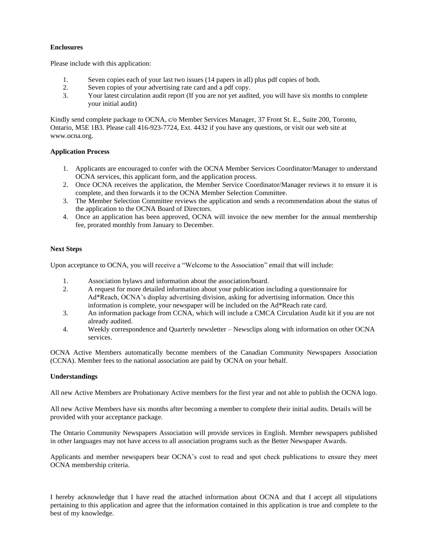#### **Enclosures**

Please include with this application:

- 1. Seven copies each of your last two issues (14 papers in all) plus pdf copies of both.
- 2. Seven copies of your advertising rate card and a pdf copy.
- 3. Your latest circulation audit report (If you are not yet audited, you will have six months to complete your initial audit)

Kindly send complete package to OCNA, c/o Member Services Manager, 37 Front St. E., Suite 200, Toronto, Ontario, M5E 1B3. Please call 416-923-7724, Ext. 4432 if you have any questions, or visit our web site at www.ocna.org.

#### **Application Process**

- 1. Applicants are encouraged to confer with the OCNA Member Services Coordinator/Manager to understand OCNA services, this applicant form, and the application process.
- 2. Once OCNA receives the application, the Member Service Coordinator/Manager reviews it to ensure it is complete, and then forwards it to the OCNA Member Selection Committee.
- 3. The Member Selection Committee reviews the application and sends a recommendation about the status of the application to the OCNA Board of Directors.
- 4. Once an application has been approved, OCNA will invoice the new member for the annual membership fee, prorated monthly from January to December.

#### **Next Steps**

Upon acceptance to OCNA, you will receive a "Welcome to the Association" email that will include:

- 1. Association bylaws and information about the association/board.
- 2. A request for more detailed information about your publication including a questionnaire for Ad\*Reach, OCNA's display advertising division, asking for advertising information. Once this information is complete, your newspaper will be included on the Ad\*Reach rate card.
- 3. An information package from CCNA, which will include a CMCA Circulation Audit kit if you are not already audited.
- 4. Weekly correspondence and Quarterly newsletter Newsclips along with information on other OCNA services.

OCNA Active Members automatically become members of the Canadian Community Newspapers Association (CCNA). Member fees to the national association are paid by OCNA on your behalf.

#### **Understandings**

All new Active Members are Probationary Active members for the first year and not able to publish the OCNA logo.

All new Active Members have six months after becoming a member to complete their initial audits. Details will be provided with your acceptance package.

The Ontario Community Newspapers Association will provide services in English. Member newspapers published in other languages may not have access to all association programs such as the Better Newspaper Awards.

Applicants and member newspapers bear OCNA's cost to read and spot check publications to ensure they meet OCNA membership criteria.

I hereby acknowledge that I have read the attached information about OCNA and that I accept all stipulations pertaining to this application and agree that the information contained in this application is true and complete to the best of my knowledge.